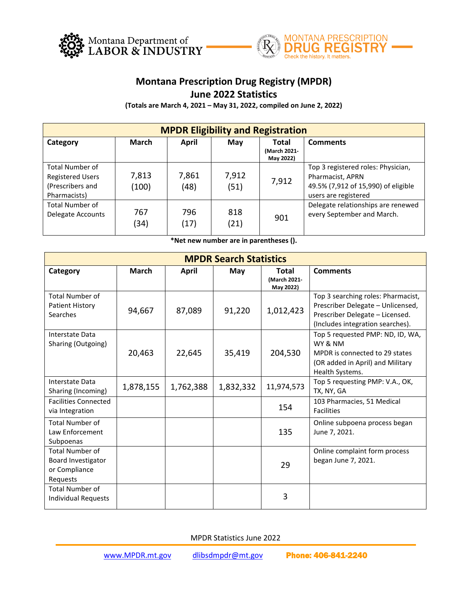



## **Montana Prescription Drug Registry (MPDR) June 2022 Statistics**

**(Totals are March 4, 2021 – May 31, 2022, compiled on June 2, 2022)**

| <b>MPDR Eligibility and Registration</b>                                       |                |               |               |                                           |                                                                                                                       |
|--------------------------------------------------------------------------------|----------------|---------------|---------------|-------------------------------------------|-----------------------------------------------------------------------------------------------------------------------|
| Category                                                                       | <b>March</b>   | <b>April</b>  | May           | <b>Total</b><br>(March 2021-<br>May 2022) | <b>Comments</b>                                                                                                       |
| Total Number of<br><b>Registered Users</b><br>(Prescribers and<br>Pharmacists) | 7,813<br>(100) | 7,861<br>(48) | 7,912<br>(51) | 7,912                                     | Top 3 registered roles: Physician,<br>Pharmacist, APRN<br>49.5% (7,912 of 15,990) of eligible<br>users are registered |
| Total Number of<br>Delegate Accounts                                           | 767<br>(34)    | 796<br>(17)   | 818<br>(21)   | 901                                       | Delegate relationships are renewed<br>every September and March.                                                      |

**\*Net new number are in parentheses ().**

| <b>MPDR Search Statistics</b>                                             |              |              |           |                                    |                                                                                                                                                |
|---------------------------------------------------------------------------|--------------|--------------|-----------|------------------------------------|------------------------------------------------------------------------------------------------------------------------------------------------|
| Category                                                                  | <b>March</b> | <b>April</b> | May       | Total<br>(March 2021-<br>May 2022) | <b>Comments</b>                                                                                                                                |
| <b>Total Number of</b><br><b>Patient History</b><br>Searches              | 94,667       | 87,089       | 91,220    | 1,012,423                          | Top 3 searching roles: Pharmacist,<br>Prescriber Delegate - Unlicensed,<br>Prescriber Delegate - Licensed.<br>(Includes integration searches). |
| Interstate Data<br>Sharing (Outgoing)                                     | 20,463       | 22,645       | 35,419    | 204,530                            | Top 5 requested PMP: ND, ID, WA,<br>WY & NM<br>MPDR is connected to 29 states<br>(OR added in April) and Military<br>Health Systems.           |
| Interstate Data<br>Sharing (Incoming)                                     | 1,878,155    | 1,762,388    | 1,832,332 | 11,974,573                         | Top 5 requesting PMP: V.A., OK,<br>TX, NY, GA                                                                                                  |
| <b>Facilities Connected</b><br>via Integration                            |              |              |           | 154                                | 103 Pharmacies, 51 Medical<br><b>Facilities</b>                                                                                                |
| <b>Total Number of</b><br>Law Enforcement<br>Subpoenas                    |              |              |           | 135                                | Online subpoena process began<br>June 7, 2021.                                                                                                 |
| <b>Total Number of</b><br>Board Investigator<br>or Compliance<br>Requests |              |              |           | 29                                 | Online complaint form process<br>began June 7, 2021.                                                                                           |
| <b>Total Number of</b><br><b>Individual Requests</b>                      |              |              |           | 3                                  |                                                                                                                                                |

MPDR Statistics June 2022